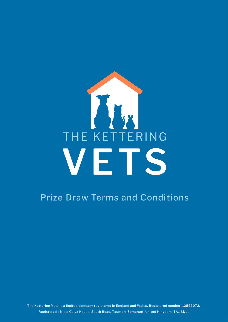# THE KETTERING VETS

### Prize Draw Terms and Conditions

The Kettering Vets is a limited company registered in England and Wales. Registered number: 12597072. Registered office: Calyx House, South Road, Taunton, Somerset, United Kingdom, TA1 3DU.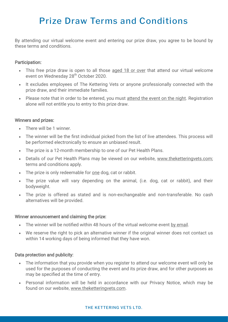## Prize Draw Terms and Conditions

By attending our virtual welcome event and entering our prize draw, you agree to be bound by these terms and conditions.

#### Participation:

- This free prize draw is open to all those aged 18 or over that attend our virtual welcome event on Wednesday 28<sup>th</sup> October 2020.
- It excludes employees of The Kettering Vets or anyone professionally connected with the prize draw, and their immediate families.
- Please note that in order to be entered, you must attend the event on the night. Registration alone will not entitle you to entry to this prize draw.

#### Winners and prizes:

- There will be 1 winner.
- The winner will be the first individual picked from the list of live attendees. This process will be performed electronically to ensure an unbiased result.
- The prize is a 12-month membership to one of our Pet Health Plans.
- Details of our Pet Health Plans may be viewed on our website, [www.theketteringvets.com;](http://www.theketteringvets.com) terms and conditions apply.
- The prize is only redeemable for <u>one</u> dog, cat or rabbit.
- The prize value will vary depending on the animal, (i.e. dog, cat or rabbit), and their bodyweight.
- The prize is offered as stated and is non-exchangeable and non-transferable. No cash alternatives will be provided.

#### Winner announcement and claiming the prize:

- The winner will be notified within 48 hours of the virtual welcome event by email.
- We reserve the right to pick an alternative winner if the original winner does not contact us within 14 working days of being informed that they have won.

#### Data protection and publicity:

- The information that you provide when you register to attend our welcome event will only be used for the purposes of conducting the event and its prize draw, and for other purposes as may be specified at the time of entry.
- Personal information will be held in accordance with our Privacy Notice, which may be found on our website, [www.theketteringvets.com.](http://www.theketteringvets.com)

#### THE KETTERING VETS LTD.